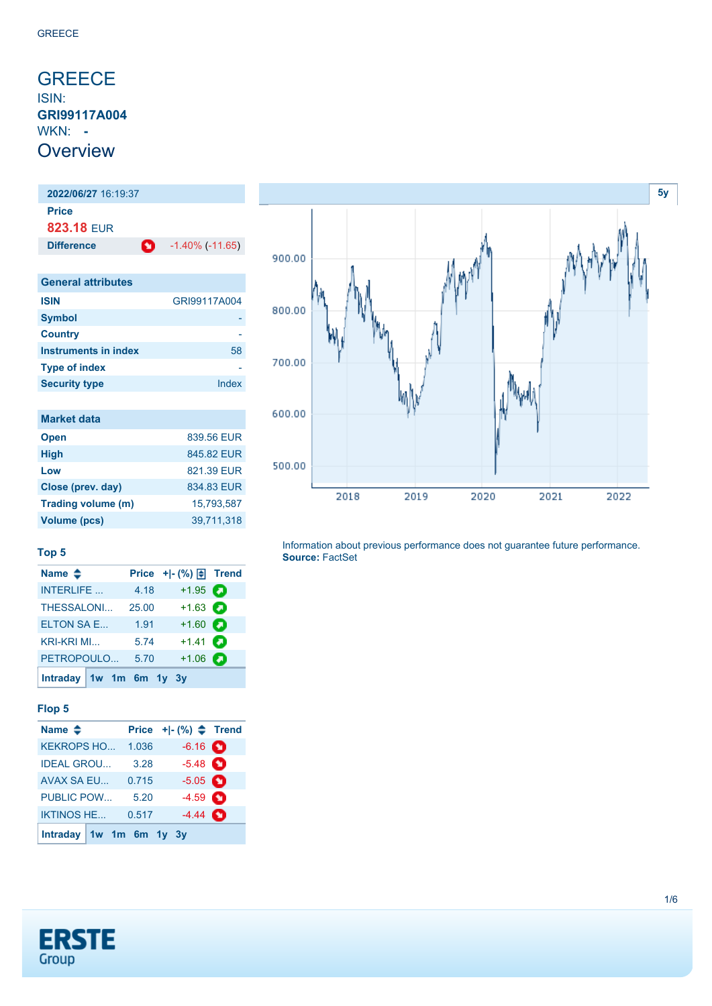### <span id="page-0-0"></span>**GREECE** ISIN: **GRI99117A004** WKN: **- Overview**

**2022/06/27** 16:19:37 **Price 823.18** EUR **Difference 1.40% (-11.65)** 

| <b>General attributes</b> |              |
|---------------------------|--------------|
| <b>ISIN</b>               | GRI99117A004 |
| <b>Symbol</b>             |              |
| <b>Country</b>            |              |
| Instruments in index      | 58           |
| <b>Type of index</b>      |              |
| <b>Security type</b>      | Index        |

| <b>Market data</b> |            |
|--------------------|------------|
| <b>Open</b>        | 839.56 EUR |
| <b>High</b>        | 845.82 EUR |
| Low                | 821.39 EUR |
| Close (prev. day)  | 834.83 EUR |
| Trading volume (m) | 15.793.587 |
| Volume (pcs)       | 39,711,318 |



Information about previous performance does not guarantee future performance. **Source:** FactSet

#### **Top 5**

| Name $\triangleq$       |       |                   |  |
|-------------------------|-------|-------------------|--|
| <b>INTERLIFE</b>        | 4.18  | $+1.95$ $\odot$   |  |
| THESSALONI              | 25.00 | $+1.63$ $\Box$    |  |
| <b>ELTON SA E</b>       | 1.91  | $+1.60$ $\bullet$ |  |
| <b>KRI-KRI MI</b>       | 5.74  | $+1.41$ $\Box$    |  |
| PETROPOULO              | 5.70  | $+1.06$ $\bullet$ |  |
| Intraday 1w 1m 6m 1y 3y |       |                   |  |

### **Flop 5**

| Name $\triangle$          |       | Price $+$ $\mid$ - $\binom{96}{9}$ $\spadesuit$ Trend |  |
|---------------------------|-------|-------------------------------------------------------|--|
| <b>KEKROPS HO</b>         | 1.036 | $-6.16$ $\bullet$                                     |  |
| <b>IDEAL GROU</b>         | 3.28  | $-5.48$ $\bullet$                                     |  |
| AVAX SA EU                | 0.715 | $-5.05$ $\bullet$                                     |  |
| <b>PUBLIC POW</b>         | 5.20  | $-4.59$ $\bullet$                                     |  |
| <b>IKTINOS HE</b>         | 0.517 | $-4.44$ $\bullet$                                     |  |
| Intraday $1w$ 1m 6m 1y 3y |       |                                                       |  |

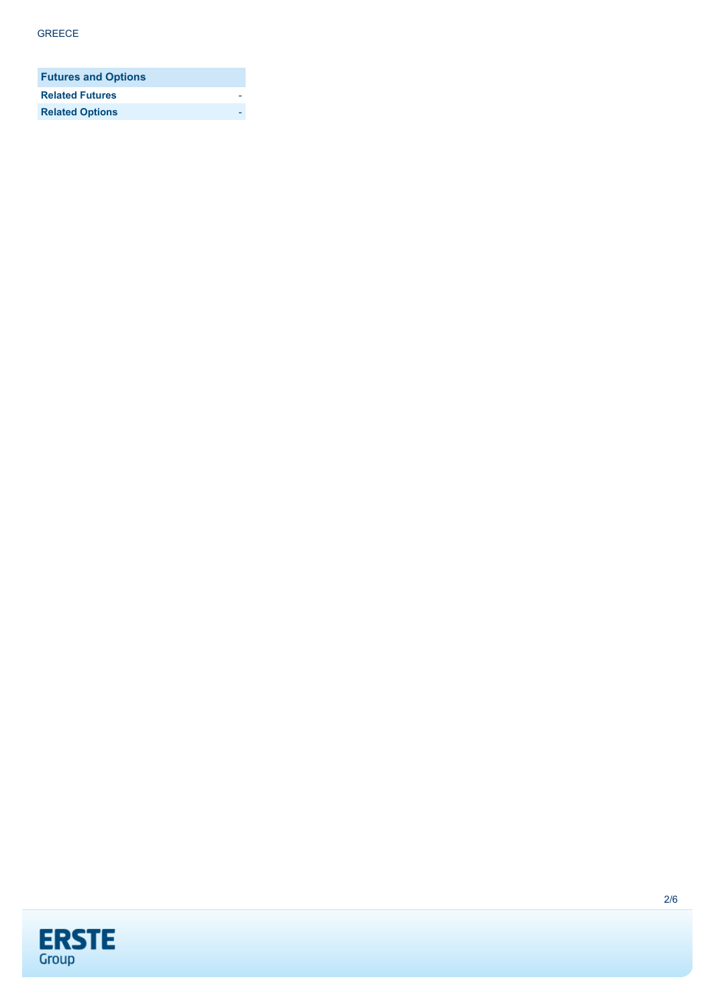| <b>Futures and Options</b> |  |
|----------------------------|--|
| <b>Related Futures</b>     |  |
| <b>Related Options</b>     |  |

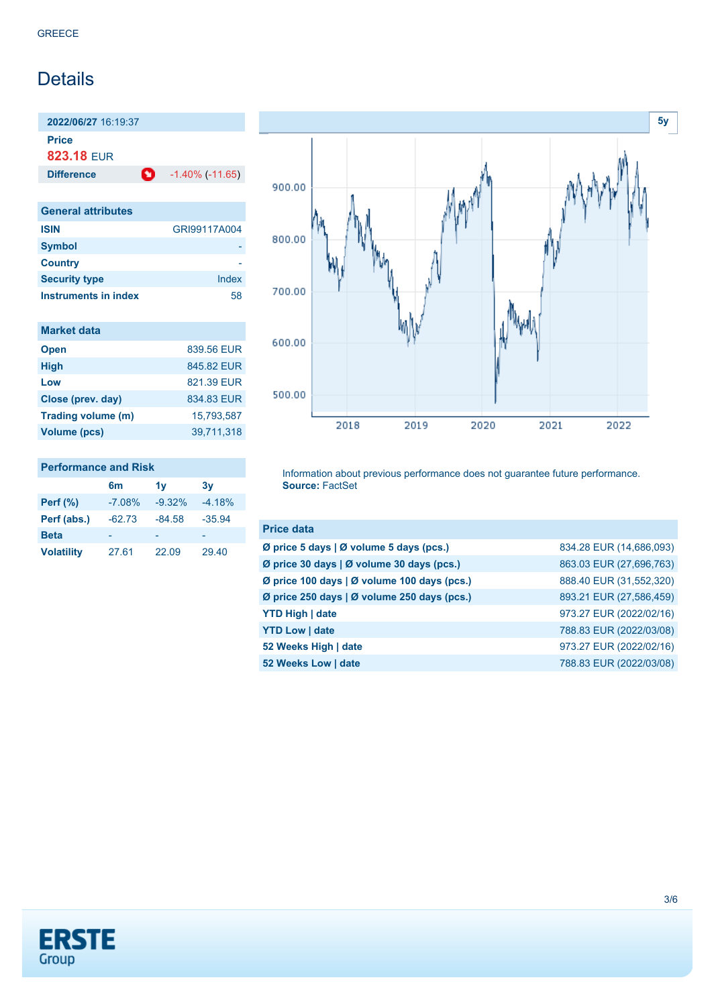## Details

**2022/06/27** 16:19:37 **Price**

**823.18** EUR

**Difference 1.40% (-11.65)** 

| <b>General attributes</b> |              |
|---------------------------|--------------|
| <b>ISIN</b>               | GRI99117A004 |
| <b>Symbol</b>             |              |
| <b>Country</b>            |              |
| <b>Security type</b>      | Index        |
| Instruments in index      | 58           |

| <b>Market data</b> |            |
|--------------------|------------|
| <b>Open</b>        | 839.56 EUR |
| <b>High</b>        | 845.82 FUR |
| Low                | 821.39 FUR |
| Close (prev. day)  | 834.83 EUR |
| Trading volume (m) | 15,793,587 |
| Volume (pcs)       | 39,711,318 |



### **Performance and Risk 6m 1y 3y**

| Perf $(\%)$       | $-7.08%$ | $-9.32%$ | $-4.18%$ |
|-------------------|----------|----------|----------|
| Perf (abs.)       | $-62.73$ | $-84.58$ | $-35.94$ |
| <b>Beta</b>       |          |          |          |
| <b>Volatility</b> | 27.61    | 22.09    | 29.40    |

Information about previous performance does not guarantee future performance. **Source:** FactSet

| <b>Price data</b>                           |                         |
|---------------------------------------------|-------------------------|
| Ø price 5 days   Ø volume 5 days (pcs.)     | 834.28 EUR (14,686,093) |
| Ø price 30 days   Ø volume 30 days (pcs.)   | 863.03 EUR (27,696,763) |
| Ø price 100 days   Ø volume 100 days (pcs.) | 888.40 EUR (31,552,320) |
| Ø price 250 days   Ø volume 250 days (pcs.) | 893.21 EUR (27,586,459) |
| <b>YTD High   date</b>                      | 973.27 EUR (2022/02/16) |
| <b>YTD Low   date</b>                       | 788.83 EUR (2022/03/08) |
| 52 Weeks High   date                        | 973.27 EUR (2022/02/16) |
| 52 Weeks Low   date                         | 788.83 EUR (2022/03/08) |

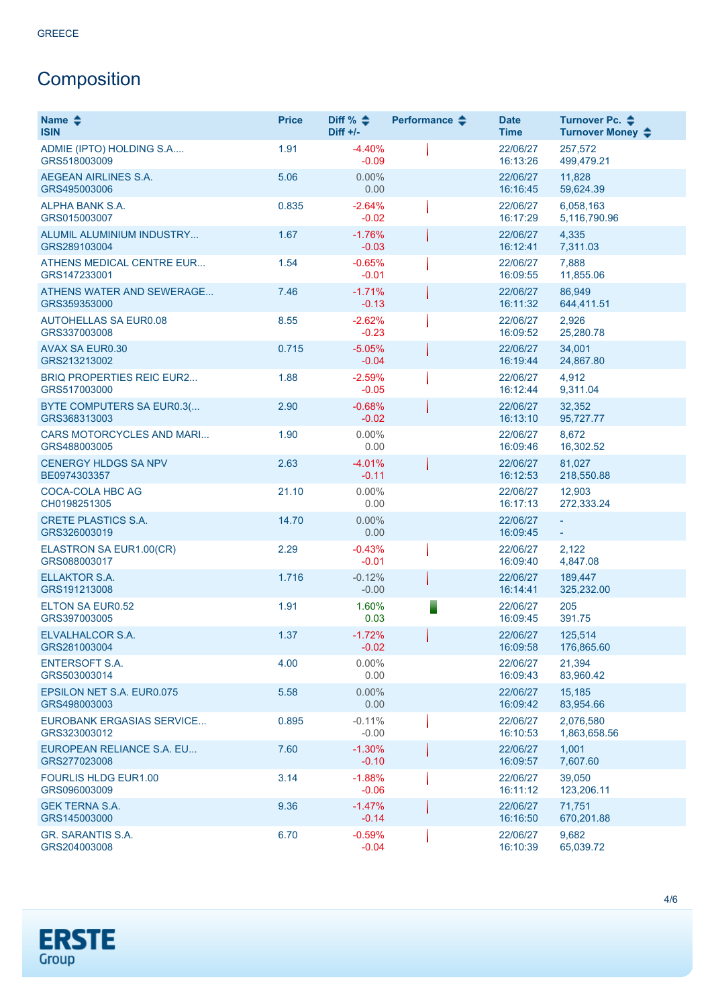# **Composition**

| Name $\clubsuit$<br><b>ISIN</b>                  | <b>Price</b> | Diff % $\div$<br>$Diff +/-$ | Performance $\triangle$ | <b>Date</b><br><b>Time</b> | Turnover Pc. ♦<br>Turnover Money ♦ |
|--------------------------------------------------|--------------|-----------------------------|-------------------------|----------------------------|------------------------------------|
| ADMIE (IPTO) HOLDING S.A<br>GRS518003009         | 1.91         | $-4.40%$<br>$-0.09$         |                         | 22/06/27<br>16:13:26       | 257.572<br>499,479.21              |
| AEGEAN AIRLINES S.A.<br>GRS495003006             | 5.06         | $0.00\%$<br>0.00            |                         | 22/06/27<br>16:16:45       | 11,828<br>59,624.39                |
| ALPHA BANK S.A.<br>GRS015003007                  | 0.835        | $-2.64%$<br>$-0.02$         |                         | 22/06/27<br>16:17:29       | 6,058,163<br>5,116,790.96          |
| ALUMIL ALUMINIUM INDUSTRY<br>GRS289103004        | 1.67         | $-1.76%$<br>$-0.03$         |                         | 22/06/27<br>16:12:41       | 4,335<br>7,311.03                  |
| ATHENS MEDICAL CENTRE EUR<br>GRS147233001        | 1.54         | $-0.65%$<br>$-0.01$         |                         | 22/06/27<br>16:09:55       | 7,888<br>11,855.06                 |
| ATHENS WATER AND SEWERAGE<br>GRS359353000        | 7.46         | $-1.71%$<br>$-0.13$         |                         | 22/06/27<br>16:11:32       | 86,949<br>644,411.51               |
| <b>AUTOHELLAS SA EUR0.08</b><br>GRS337003008     | 8.55         | $-2.62%$<br>$-0.23$         |                         | 22/06/27<br>16:09:52       | 2,926<br>25,280.78                 |
| <b>AVAX SA EUR0.30</b><br>GRS213213002           | 0.715        | $-5.05%$<br>$-0.04$         |                         | 22/06/27<br>16:19:44       | 34,001<br>24,867.80                |
| <b>BRIQ PROPERTIES REIC EUR2</b><br>GRS517003000 | 1.88         | $-2.59%$<br>$-0.05$         |                         | 22/06/27<br>16:12:44       | 4,912<br>9,311.04                  |
| BYTE COMPUTERS SA EUR0.3(<br>GRS368313003        | 2.90         | $-0.68%$<br>$-0.02$         |                         | 22/06/27<br>16:13:10       | 32,352<br>95,727.77                |
| CARS MOTORCYCLES AND MARI<br>GRS488003005        | 1.90         | $0.00\%$<br>0.00            |                         | 22/06/27<br>16:09:46       | 8,672<br>16,302.52                 |
| <b>CENERGY HLDGS SA NPV</b><br>BE0974303357      | 2.63         | $-4.01%$<br>$-0.11$         |                         | 22/06/27<br>16:12:53       | 81,027<br>218,550.88               |
| <b>COCA-COLA HBC AG</b><br>CH0198251305          | 21.10        | $0.00\%$<br>0.00            |                         | 22/06/27<br>16:17:13       | 12,903<br>272,333.24               |
| <b>CRETE PLASTICS S.A.</b><br>GRS326003019       | 14.70        | $0.00\%$<br>0.00            |                         | 22/06/27<br>16:09:45       |                                    |
| ELASTRON SA EUR1.00(CR)<br>GRS088003017          | 2.29         | $-0.43%$<br>$-0.01$         |                         | 22/06/27<br>16:09:40       | 2,122<br>4,847.08                  |
| <b>ELLAKTOR S.A.</b><br>GRS191213008             | 1.716        | $-0.12%$<br>$-0.00$         |                         | 22/06/27<br>16:14:41       | 189,447<br>325,232.00              |
| <b>ELTON SA EUR0.52</b><br>GRS397003005          | 1.91         | 1.60%<br>0.03               |                         | 22/06/27<br>16:09:45       | 205<br>391.75                      |
| ELVALHALCOR S.A.<br>GRS281003004                 | 1.37         | $-1.72%$<br>$-0.02$         |                         | 22/06/27<br>16:09:58       | 125,514<br>176,865.60              |
| <b>ENTERSOFT S.A.</b><br>GRS503003014            | 4.00         | $0.00\%$<br>0.00            |                         | 22/06/27<br>16:09:43       | 21,394<br>83,960.42                |
| EPSILON NET S.A. EUR0.075<br>GRS498003003        | 5.58         | $0.00\%$<br>0.00            |                         | 22/06/27<br>16:09:42       | 15,185<br>83,954.66                |
| EUROBANK ERGASIAS SERVICE<br>GRS323003012        | 0.895        | $-0.11%$<br>$-0.00$         |                         | 22/06/27<br>16:10:53       | 2.076.580<br>1,863,658.56          |
| EUROPEAN RELIANCE S.A. EU<br>GRS277023008        | 7.60         | $-1.30%$<br>$-0.10$         |                         | 22/06/27<br>16:09:57       | 1,001<br>7,607.60                  |
| <b>FOURLIS HLDG EUR1.00</b><br>GRS096003009      | 3.14         | $-1.88%$<br>$-0.06$         |                         | 22/06/27<br>16:11:12       | 39,050<br>123,206.11               |
| <b>GEK TERNA S.A.</b><br>GRS145003000            | 9.36         | $-1.47%$<br>$-0.14$         |                         | 22/06/27<br>16:16:50       | 71,751<br>670,201.88               |
| GR. SARANTIS S.A.<br>GRS204003008                | 6.70         | $-0.59%$<br>$-0.04$         |                         | 22/06/27<br>16:10:39       | 9,682<br>65,039.72                 |

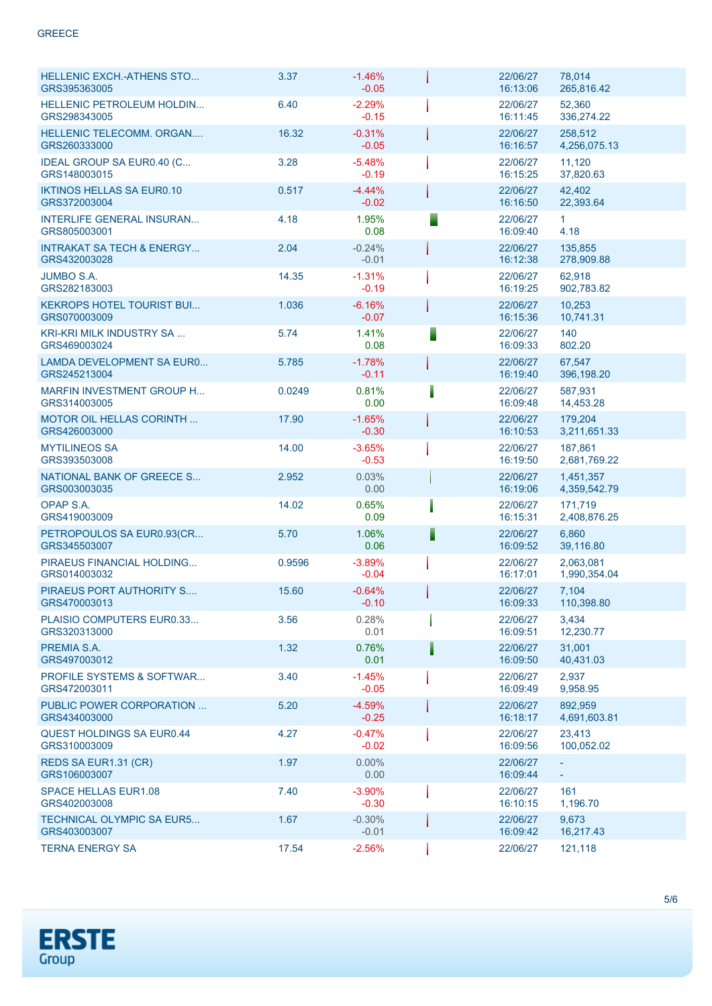| <b>HELLENIC EXCH.-ATHENS STO</b><br>GRS395363005     | 3.37   | $-1.46%$<br>$-0.05$ |   | 22/06/27<br>16:13:06 | 78,014<br>265,816.42      |
|------------------------------------------------------|--------|---------------------|---|----------------------|---------------------------|
| <b>HELLENIC PETROLEUM HOLDIN</b><br>GRS298343005     | 6.40   | $-2.29%$<br>$-0.15$ |   | 22/06/27<br>16:11:45 | 52,360<br>336,274.22      |
| HELLENIC TELECOMM. ORGAN<br>GRS260333000             | 16.32  | $-0.31%$<br>$-0.05$ |   | 22/06/27<br>16:16:57 | 258,512<br>4,256,075.13   |
| IDEAL GROUP SA EUR0.40 (C<br>GRS148003015            | 3.28   | $-5.48%$<br>$-0.19$ |   | 22/06/27<br>16:15:25 | 11,120<br>37,820.63       |
| <b>IKTINOS HELLAS SA EUR0.10</b><br>GRS372003004     | 0.517  | $-4.44%$<br>$-0.02$ |   | 22/06/27<br>16:16:50 | 42,402<br>22,393.64       |
| <b>INTERLIFE GENERAL INSURAN</b><br>GRS805003001     | 4.18   | 1.95%<br>0.08       |   | 22/06/27<br>16:09:40 | $\mathbf{1}$<br>4.18      |
| <b>INTRAKAT SA TECH &amp; ENERGY</b><br>GRS432003028 | 2.04   | $-0.24%$<br>$-0.01$ |   | 22/06/27<br>16:12:38 | 135,855<br>278,909.88     |
| <b>JUMBO S.A.</b><br>GRS282183003                    | 14.35  | $-1.31%$<br>$-0.19$ |   | 22/06/27<br>16:19:25 | 62,918<br>902,783.82      |
| <b>KEKROPS HOTEL TOURIST BUI</b><br>GRS070003009     | 1.036  | $-6.16%$<br>$-0.07$ |   | 22/06/27<br>16:15:36 | 10,253<br>10,741.31       |
| <b>KRI-KRI MILK INDUSTRY SA</b><br>GRS469003024      | 5.74   | 1.41%<br>0.08       | ▋ | 22/06/27<br>16:09:33 | 140<br>802.20             |
| <b>LAMDA DEVELOPMENT SA EURO</b><br>GRS245213004     | 5.785  | $-1.78%$<br>$-0.11$ |   | 22/06/27<br>16:19:40 | 67,547<br>396,198.20      |
| MARFIN INVESTMENT GROUP H<br>GRS314003005            | 0.0249 | 0.81%<br>0.00       |   | 22/06/27<br>16:09:48 | 587,931<br>14,453.28      |
| <b>MOTOR OIL HELLAS CORINTH </b><br>GRS426003000     | 17.90  | $-1.65%$<br>$-0.30$ |   | 22/06/27<br>16:10:53 | 179,204<br>3,211,651.33   |
| <b>MYTILINEOS SA</b><br>GRS393503008                 | 14.00  | $-3.65%$<br>$-0.53$ |   | 22/06/27<br>16:19:50 | 187,861<br>2,681,769.22   |
| NATIONAL BANK OF GREECE S<br>GRS003003035            | 2.952  | 0.03%<br>0.00       |   | 22/06/27<br>16:19:06 | 1,451,357<br>4,359,542.79 |
| OPAP S.A.<br>GRS419003009                            | 14.02  | 0.65%<br>0.09       |   | 22/06/27<br>16:15:31 | 171.719<br>2,408,876.25   |
| PETROPOULOS SA EUR0.93(CR<br>GRS345503007            | 5.70   | 1.06%<br>0.06       |   | 22/06/27<br>16:09:52 | 6,860<br>39,116.80        |
| PIRAEUS FINANCIAL HOLDING<br>GRS014003032            | 0.9596 | $-3.89%$<br>$-0.04$ |   | 22/06/27<br>16:17:01 | 2,063,081<br>1,990,354.04 |
| PIRAEUS PORT AUTHORITY S<br>GRS470003013             | 15.60  | $-0.64%$<br>$-0.10$ |   | 22/06/27<br>16:09:33 | 7,104<br>110,398.80       |
| PLAISIO COMPUTERS EUR0.33<br>GRS320313000            | 3.56   | 0.28%<br>0.01       |   | 22/06/27<br>16:09:51 | 3,434<br>12,230.77        |
| PREMIA S.A.<br>GRS497003012                          | 1.32   | 0.76%<br>0.01       |   | 22/06/27<br>16:09:50 | 31,001<br>40.431.03       |
| <b>PROFILE SYSTEMS &amp; SOFTWAR</b><br>GRS472003011 | 3.40   | $-1.45%$<br>$-0.05$ |   | 22/06/27<br>16:09:49 | 2,937<br>9,958.95         |
| PUBLIC POWER CORPORATION<br>GRS434003000             | 5.20   | $-4.59%$<br>$-0.25$ |   | 22/06/27<br>16:18:17 | 892.959<br>4,691,603.81   |
| <b>QUEST HOLDINGS SA EUR0.44</b><br>GRS310003009     | 4.27   | $-0.47%$<br>$-0.02$ |   | 22/06/27<br>16:09:56 | 23,413<br>100,052.02      |
| REDS SA EUR1.31 (CR)<br>GRS106003007                 | 1.97   | $0.00\%$<br>0.00    |   | 22/06/27<br>16:09:44 | ÷                         |
| <b>SPACE HELLAS EUR1.08</b><br>GRS402003008          | 7.40   | $-3.90%$<br>$-0.30$ |   | 22/06/27<br>16:10:15 | 161<br>1,196.70           |
| <b>TECHNICAL OLYMPIC SA EUR5</b><br>GRS403003007     | 1.67   | $-0.30%$<br>$-0.01$ |   | 22/06/27<br>16:09:42 | 9,673<br>16,217.43        |
| <b>TERNA ENERGY SA</b>                               | 17.54  | $-2.56%$            |   | 22/06/27             | 121,118                   |